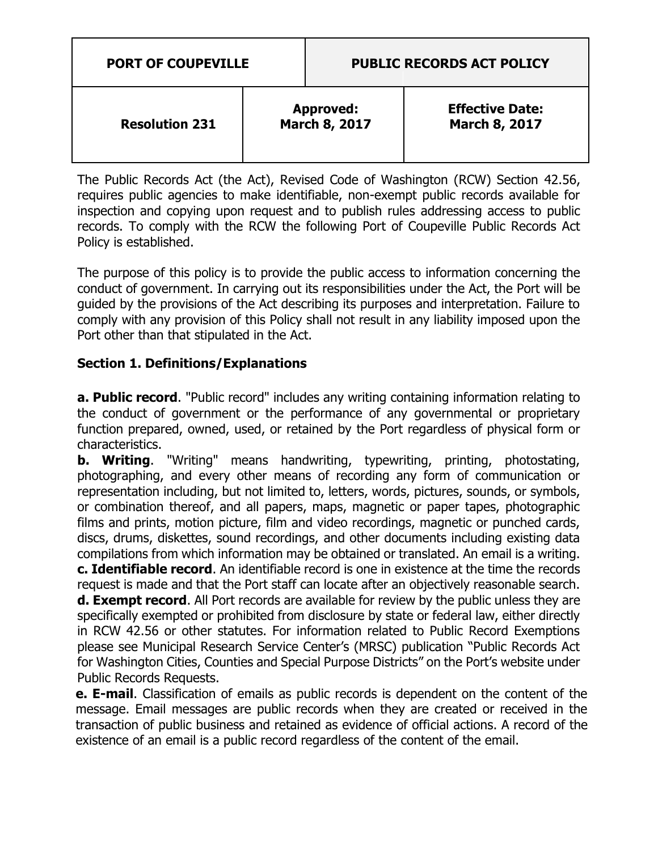| <b>PORT OF COUPEVILLE</b> |                                   | <b>PUBLIC RECORDS ACT POLICY</b> |                                                |
|---------------------------|-----------------------------------|----------------------------------|------------------------------------------------|
| <b>Resolution 231</b>     | <b>Approved:</b><br>March 8, 2017 |                                  | <b>Effective Date:</b><br><b>March 8, 2017</b> |

The Public Records Act (the Act), Revised Code of Washington (RCW) Section 42.56, requires public agencies to make identifiable, non-exempt public records available for inspection and copying upon request and to publish rules addressing access to public records. To comply with the RCW the following Port of Coupeville Public Records Act Policy is established.

The purpose of this policy is to provide the public access to information concerning the conduct of government. In carrying out its responsibilities under the Act, the Port will be guided by the provisions of the Act describing its purposes and interpretation. Failure to comply with any provision of this Policy shall not result in any liability imposed upon the Port other than that stipulated in the Act.

# **Section 1. Definitions/Explanations**

**a. Public record**. "Public record" includes any writing containing information relating to the conduct of government or the performance of any governmental or proprietary function prepared, owned, used, or retained by the Port regardless of physical form or characteristics.

**b. Writing**. "Writing" means handwriting, typewriting, printing, photostating, photographing, and every other means of recording any form of communication or representation including, but not limited to, letters, words, pictures, sounds, or symbols, or combination thereof, and all papers, maps, magnetic or paper tapes, photographic films and prints, motion picture, film and video recordings, magnetic or punched cards, discs, drums, diskettes, sound recordings, and other documents including existing data compilations from which information may be obtained or translated. An email is a writing. **c. Identifiable record**. An identifiable record is one in existence at the time the records request is made and that the Port staff can locate after an objectively reasonable search. **d. Exempt record**. All Port records are available for review by the public unless they are specifically exempted or prohibited from disclosure by state or federal law, either directly in RCW 42.56 or other statutes. For information related to Public Record Exemptions please see Municipal Research Service Center's (MRSC) publication "Public Records Act for Washington Cities, Counties and Special Purpose Districts" on the Port's website under Public Records Requests.

**e. E-mail**. Classification of emails as public records is dependent on the content of the message. Email messages are public records when they are created or received in the transaction of public business and retained as evidence of official actions. A record of the existence of an email is a public record regardless of the content of the email.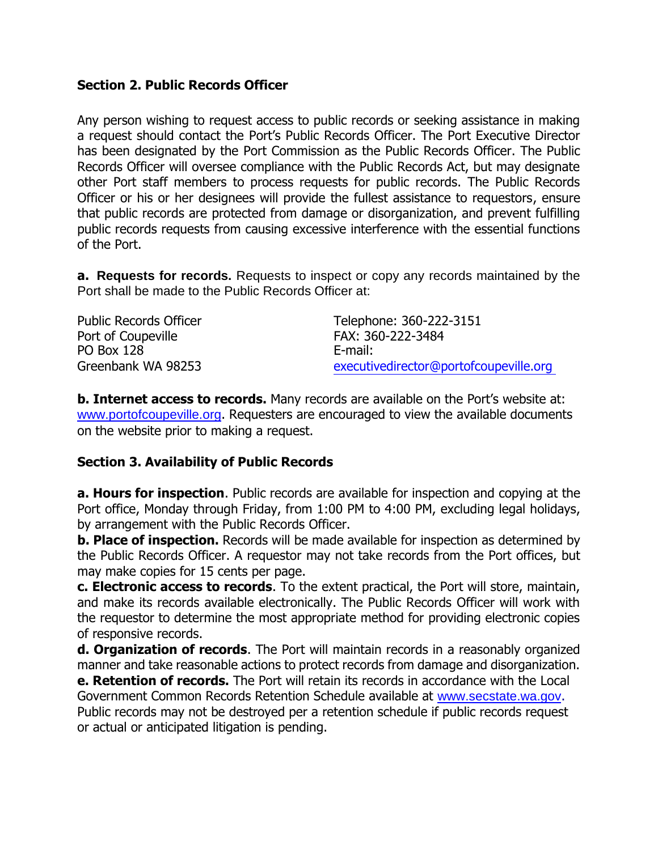#### **Section 2. Public Records Officer**

Any person wishing to request access to public records or seeking assistance in making a request should contact the Port's Public Records Officer. The Port Executive Director has been designated by the Port Commission as the Public Records Officer. The Public Records Officer will oversee compliance with the Public Records Act, but may designate other Port staff members to process requests for public records. The Public Records Officer or his or her designees will provide the fullest assistance to requestors, ensure that public records are protected from damage or disorganization, and prevent fulfilling public records requests from causing excessive interference with the essential functions of the Port.

**a. Requests for records.** Requests to inspect or copy any records maintained by the Port shall be made to the Public Records Officer at:

| <b>Public Records Officer</b> | Telephone: 360-222-3151                |
|-------------------------------|----------------------------------------|
| Port of Coupeville            | FAX: 360-222-3484                      |
| <b>PO Box 128</b>             | E-mail:                                |
| Greenbank WA 98253            | executivedirector@portofcoupeville.org |

**b. Internet access to records.** Many records are available on the Port's website at: www.portofcoupeville.org. Requesters are encouraged to view the available documents on the website prior to making a request.

#### **Section 3. Availability of Public Records**

**a. Hours for inspection**. Public records are available for inspection and copying at the Port office, Monday through Friday, from 1:00 PM to 4:00 PM, excluding legal holidays, by arrangement with the Public Records Officer.

**b. Place of inspection.** Records will be made available for inspection as determined by the Public Records Officer. A requestor may not take records from the Port offices, but may make copies for 15 cents per page.

**c. Electronic access to records**. To the extent practical, the Port will store, maintain, and make its records available electronically. The Public Records Officer will work with the requestor to determine the most appropriate method for providing electronic copies of responsive records.

**d. Organization of records**. The Port will maintain records in a reasonably organized manner and take reasonable actions to protect records from damage and disorganization.

**e. Retention of records.** The Port will retain its records in accordance with the Local Government Common Records Retention Schedule available at www.secstate.wa.gov. Public records may not be destroyed per a retention schedule if public records request or actual or anticipated litigation is pending.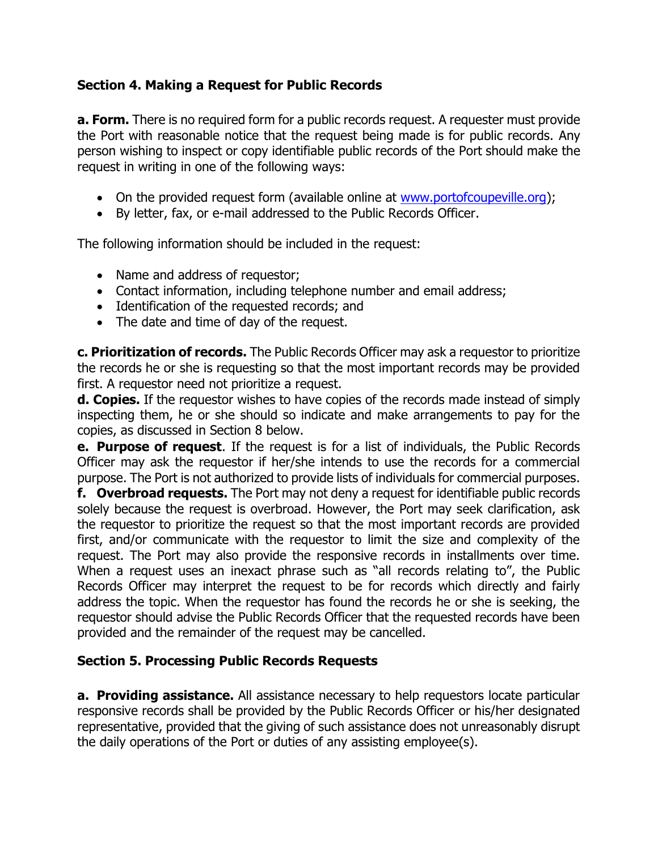### **Section 4. Making a Request for Public Records**

**a. Form.** There is no required form for a public records request. A requester must provide the Port with reasonable notice that the request being made is for public records. Any person wishing to inspect or copy identifiable public records of the Port should make the request in writing in one of the following ways:

- On the provided request form (available online at www.portofcoupeville.org);
- By letter, fax, or e-mail addressed to the Public Records Officer.

The following information should be included in the request:

- Name and address of requestor;
- Contact information, including telephone number and email address;
- Identification of the requested records; and
- The date and time of day of the request.

**c. Prioritization of records.** The Public Records Officer may ask a requestor to prioritize the records he or she is requesting so that the most important records may be provided first. A requestor need not prioritize a request.

**d. Copies.** If the requestor wishes to have copies of the records made instead of simply inspecting them, he or she should so indicate and make arrangements to pay for the copies, as discussed in Section 8 below.

**e. Purpose of request**. If the request is for a list of individuals, the Public Records Officer may ask the requestor if her/she intends to use the records for a commercial purpose. The Port is not authorized to provide lists of individuals for commercial purposes.

**f. Overbroad requests.** The Port may not deny a request for identifiable public records solely because the request is overbroad. However, the Port may seek clarification, ask the requestor to prioritize the request so that the most important records are provided first, and/or communicate with the requestor to limit the size and complexity of the request. The Port may also provide the responsive records in installments over time. When a request uses an inexact phrase such as "all records relating to", the Public Records Officer may interpret the request to be for records which directly and fairly address the topic. When the requestor has found the records he or she is seeking, the requestor should advise the Public Records Officer that the requested records have been provided and the remainder of the request may be cancelled.

#### **Section 5. Processing Public Records Requests**

**a. Providing assistance.** All assistance necessary to help requestors locate particular responsive records shall be provided by the Public Records Officer or his/her designated representative, provided that the giving of such assistance does not unreasonably disrupt the daily operations of the Port or duties of any assisting employee(s).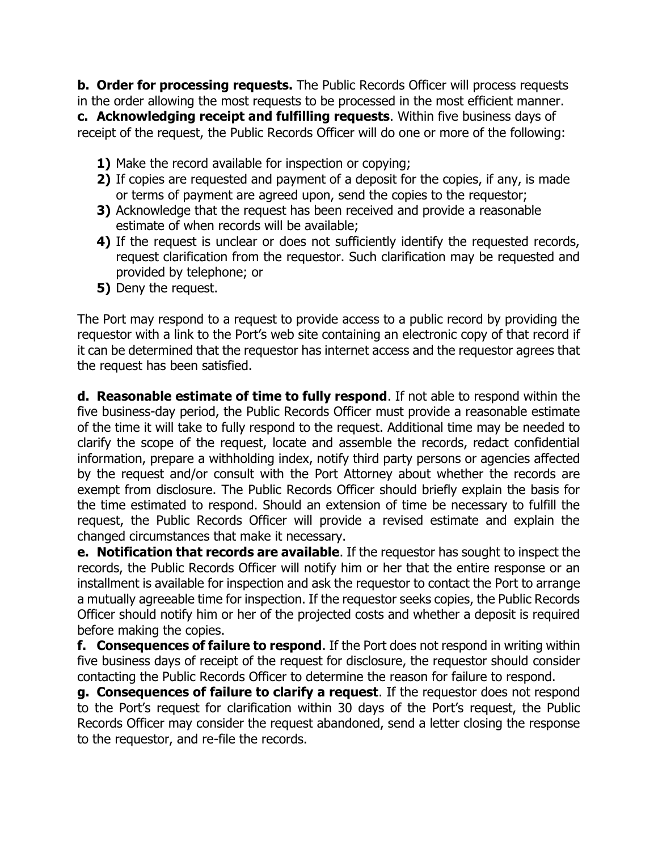**b. Order for processing requests.** The Public Records Officer will process requests in the order allowing the most requests to be processed in the most efficient manner. **c. Acknowledging receipt and fulfilling requests**. Within five business days of receipt of the request, the Public Records Officer will do one or more of the following:

- **1)** Make the record available for inspection or copying;
- **2)** If copies are requested and payment of a deposit for the copies, if any, is made or terms of payment are agreed upon, send the copies to the requestor;
- **3)** Acknowledge that the request has been received and provide a reasonable estimate of when records will be available;
- **4)** If the request is unclear or does not sufficiently identify the requested records, request clarification from the requestor. Such clarification may be requested and provided by telephone; or
- **5)** Deny the request.

The Port may respond to a request to provide access to a public record by providing the requestor with a link to the Port's web site containing an electronic copy of that record if it can be determined that the requestor has internet access and the requestor agrees that the request has been satisfied.

**d. Reasonable estimate of time to fully respond**. If not able to respond within the five business-day period, the Public Records Officer must provide a reasonable estimate of the time it will take to fully respond to the request. Additional time may be needed to clarify the scope of the request, locate and assemble the records, redact confidential information, prepare a withholding index, notify third party persons or agencies affected by the request and/or consult with the Port Attorney about whether the records are exempt from disclosure. The Public Records Officer should briefly explain the basis for the time estimated to respond. Should an extension of time be necessary to fulfill the request, the Public Records Officer will provide a revised estimate and explain the changed circumstances that make it necessary.

**e. Notification that records are available**. If the requestor has sought to inspect the records, the Public Records Officer will notify him or her that the entire response or an installment is available for inspection and ask the requestor to contact the Port to arrange a mutually agreeable time for inspection. If the requestor seeks copies, the Public Records Officer should notify him or her of the projected costs and whether a deposit is required before making the copies.

**f. Consequences of failure to respond**. If the Port does not respond in writing within five business days of receipt of the request for disclosure, the requestor should consider contacting the Public Records Officer to determine the reason for failure to respond.

**g. Consequences of failure to clarify a request**. If the requestor does not respond to the Port's request for clarification within 30 days of the Port's request, the Public Records Officer may consider the request abandoned, send a letter closing the response to the requestor, and re-file the records.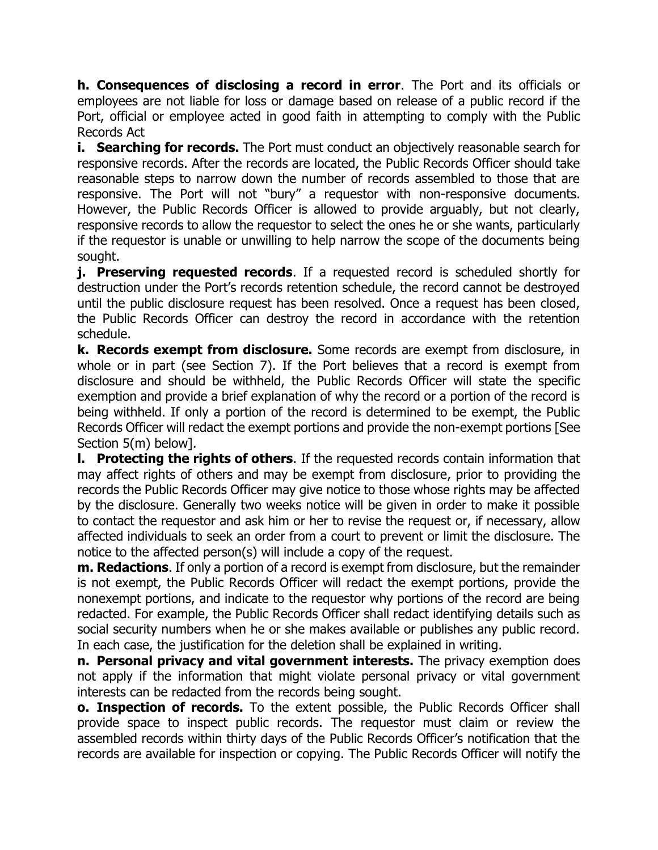**h. Consequences of disclosing a record in error**. The Port and its officials or employees are not liable for loss or damage based on release of a public record if the Port, official or employee acted in good faith in attempting to comply with the Public Records Act

**i. Searching for records.** The Port must conduct an objectively reasonable search for responsive records. After the records are located, the Public Records Officer should take reasonable steps to narrow down the number of records assembled to those that are responsive. The Port will not "bury" a requestor with non-responsive documents. However, the Public Records Officer is allowed to provide arguably, but not clearly, responsive records to allow the requestor to select the ones he or she wants, particularly if the requestor is unable or unwilling to help narrow the scope of the documents being sought.

**j. Preserving requested records**. If a requested record is scheduled shortly for destruction under the Port's records retention schedule, the record cannot be destroyed until the public disclosure request has been resolved. Once a request has been closed, the Public Records Officer can destroy the record in accordance with the retention schedule.

**k. Records exempt from disclosure.** Some records are exempt from disclosure, in whole or in part (see Section 7). If the Port believes that a record is exempt from disclosure and should be withheld, the Public Records Officer will state the specific exemption and provide a brief explanation of why the record or a portion of the record is being withheld. If only a portion of the record is determined to be exempt, the Public Records Officer will redact the exempt portions and provide the non-exempt portions [See Section 5(m) below].

**l. Protecting the rights of others**. If the requested records contain information that may affect rights of others and may be exempt from disclosure, prior to providing the records the Public Records Officer may give notice to those whose rights may be affected by the disclosure. Generally two weeks notice will be given in order to make it possible to contact the requestor and ask him or her to revise the request or, if necessary, allow affected individuals to seek an order from a court to prevent or limit the disclosure. The notice to the affected person(s) will include a copy of the request.

**m. Redactions**. If only a portion of a record is exempt from disclosure, but the remainder is not exempt, the Public Records Officer will redact the exempt portions, provide the nonexempt portions, and indicate to the requestor why portions of the record are being redacted. For example, the Public Records Officer shall redact identifying details such as social security numbers when he or she makes available or publishes any public record. In each case, the justification for the deletion shall be explained in writing.

**n. Personal privacy and vital government interests.** The privacy exemption does not apply if the information that might violate personal privacy or vital government interests can be redacted from the records being sought.

**o. Inspection of records.** To the extent possible, the Public Records Officer shall provide space to inspect public records. The requestor must claim or review the assembled records within thirty days of the Public Records Officer's notification that the records are available for inspection or copying. The Public Records Officer will notify the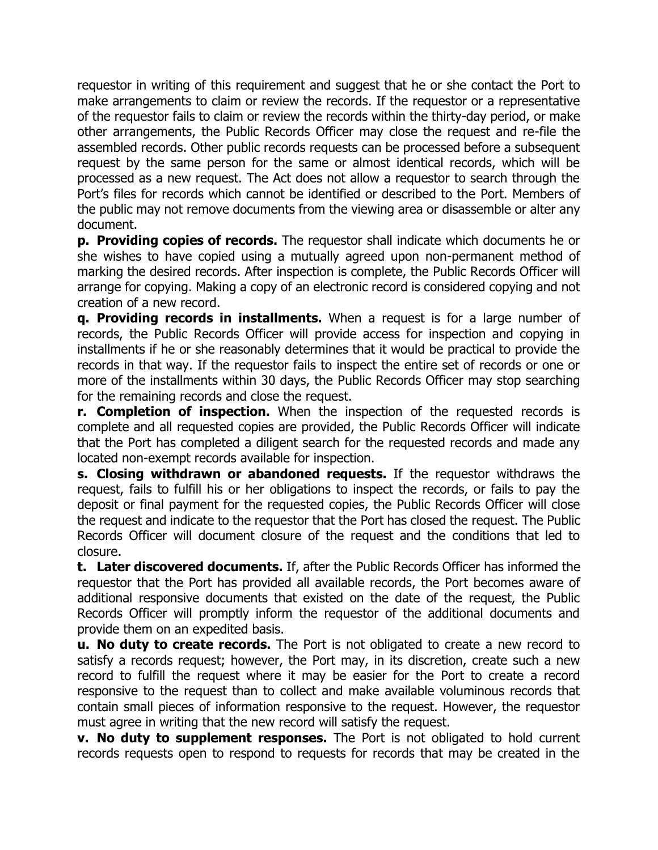requestor in writing of this requirement and suggest that he or she contact the Port to make arrangements to claim or review the records. If the requestor or a representative of the requestor fails to claim or review the records within the thirty-day period, or make other arrangements, the Public Records Officer may close the request and re-file the assembled records. Other public records requests can be processed before a subsequent request by the same person for the same or almost identical records, which will be processed as a new request. The Act does not allow a requestor to search through the Port's files for records which cannot be identified or described to the Port. Members of the public may not remove documents from the viewing area or disassemble or alter any document.

**p. Providing copies of records.** The requestor shall indicate which documents he or she wishes to have copied using a mutually agreed upon non-permanent method of marking the desired records. After inspection is complete, the Public Records Officer will arrange for copying. Making a copy of an electronic record is considered copying and not creation of a new record.

**q. Providing records in installments.** When a request is for a large number of records, the Public Records Officer will provide access for inspection and copying in installments if he or she reasonably determines that it would be practical to provide the records in that way. If the requestor fails to inspect the entire set of records or one or more of the installments within 30 days, the Public Records Officer may stop searching for the remaining records and close the request.

**r. Completion of inspection.** When the inspection of the requested records is complete and all requested copies are provided, the Public Records Officer will indicate that the Port has completed a diligent search for the requested records and made any located non-exempt records available for inspection.

**s. Closing withdrawn or abandoned requests.** If the requestor withdraws the request, fails to fulfill his or her obligations to inspect the records, or fails to pay the deposit or final payment for the requested copies, the Public Records Officer will close the request and indicate to the requestor that the Port has closed the request. The Public Records Officer will document closure of the request and the conditions that led to closure.

**t. Later discovered documents.** If, after the Public Records Officer has informed the requestor that the Port has provided all available records, the Port becomes aware of additional responsive documents that existed on the date of the request, the Public Records Officer will promptly inform the requestor of the additional documents and provide them on an expedited basis.

**u. No duty to create records.** The Port is not obligated to create a new record to satisfy a records request; however, the Port may, in its discretion, create such a new record to fulfill the request where it may be easier for the Port to create a record responsive to the request than to collect and make available voluminous records that contain small pieces of information responsive to the request. However, the requestor must agree in writing that the new record will satisfy the request.

**v. No duty to supplement responses.** The Port is not obligated to hold current records requests open to respond to requests for records that may be created in the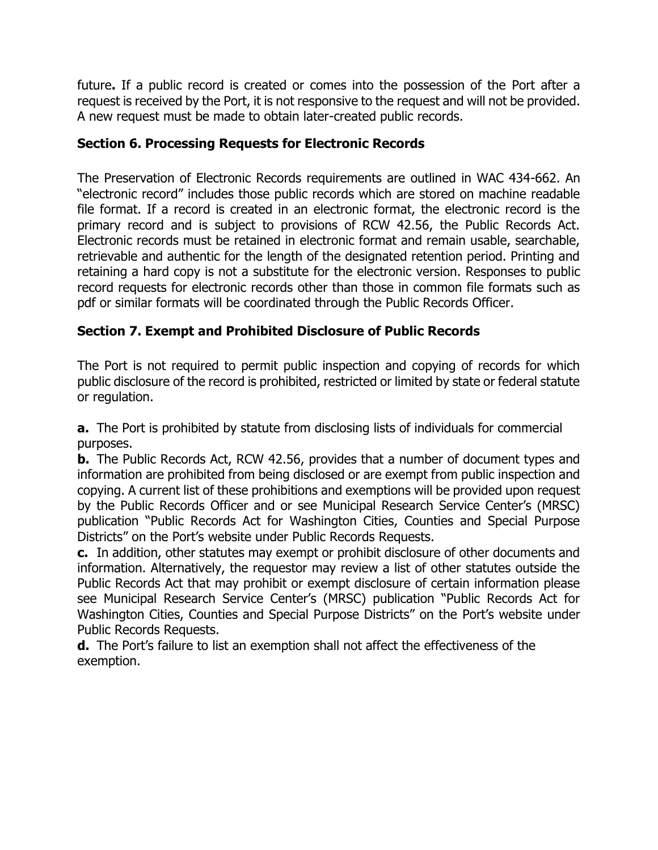future**.** If a public record is created or comes into the possession of the Port after a request is received by the Port, it is not responsive to the request and will not be provided. A new request must be made to obtain later-created public records.

### **Section 6. Processing Requests for Electronic Records**

The Preservation of Electronic Records requirements are outlined in WAC 434-662. An "electronic record" includes those public records which are stored on machine readable file format. If a record is created in an electronic format, the electronic record is the primary record and is subject to provisions of RCW 42.56, the Public Records Act. Electronic records must be retained in electronic format and remain usable, searchable, retrievable and authentic for the length of the designated retention period. Printing and retaining a hard copy is not a substitute for the electronic version. Responses to public record requests for electronic records other than those in common file formats such as pdf or similar formats will be coordinated through the Public Records Officer.

# **Section 7. Exempt and Prohibited Disclosure of Public Records**

The Port is not required to permit public inspection and copying of records for which public disclosure of the record is prohibited, restricted or limited by state or federal statute or regulation.

**a.** The Port is prohibited by statute from disclosing lists of individuals for commercial purposes.

**b.** The Public Records Act, RCW 42.56, provides that a number of document types and information are prohibited from being disclosed or are exempt from public inspection and copying. A current list of these prohibitions and exemptions will be provided upon request by the Public Records Officer and or see Municipal Research Service Center's (MRSC) publication "Public Records Act for Washington Cities, Counties and Special Purpose Districts" on the Port's website under Public Records Requests.

**c.** In addition, other statutes may exempt or prohibit disclosure of other documents and information. Alternatively, the requestor may review a list of other statutes outside the Public Records Act that may prohibit or exempt disclosure of certain information please see Municipal Research Service Center's (MRSC) publication "Public Records Act for Washington Cities, Counties and Special Purpose Districts" on the Port's website under Public Records Requests.

**d.** The Port's failure to list an exemption shall not affect the effectiveness of the exemption.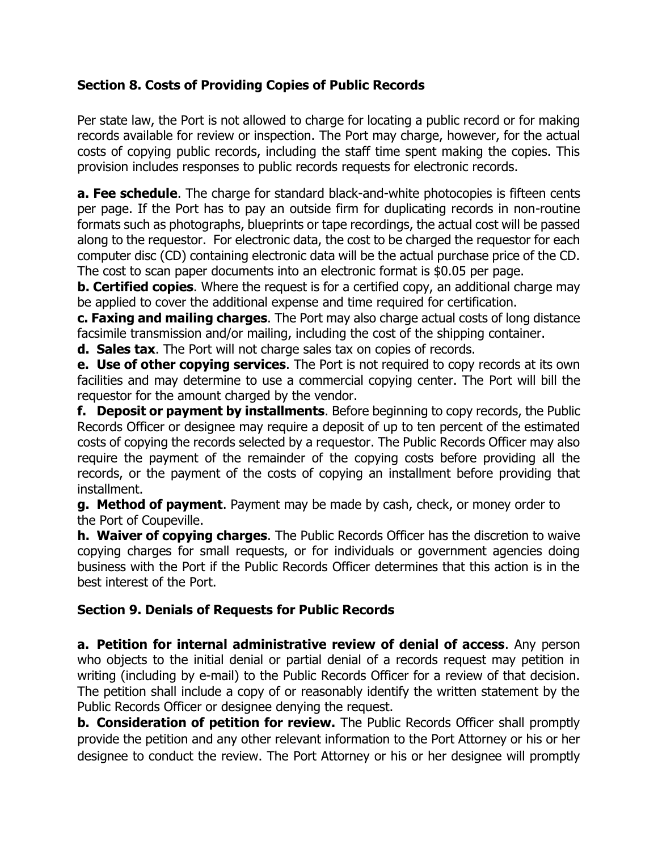# **Section 8. Costs of Providing Copies of Public Records**

Per state law, the Port is not allowed to charge for locating a public record or for making records available for review or inspection. The Port may charge, however, for the actual costs of copying public records, including the staff time spent making the copies. This provision includes responses to public records requests for electronic records.

**a. Fee schedule**. The charge for standard black-and-white photocopies is fifteen cents per page. If the Port has to pay an outside firm for duplicating records in non-routine formats such as photographs, blueprints or tape recordings, the actual cost will be passed along to the requestor. For electronic data, the cost to be charged the requestor for each computer disc (CD) containing electronic data will be the actual purchase price of the CD. The cost to scan paper documents into an electronic format is \$0.05 per page.

**b. Certified copies**. Where the request is for a certified copy, an additional charge may be applied to cover the additional expense and time required for certification.

**c. Faxing and mailing charges**. The Port may also charge actual costs of long distance facsimile transmission and/or mailing, including the cost of the shipping container.

**d. Sales tax**. The Port will not charge sales tax on copies of records.

**e. Use of other copying services**. The Port is not required to copy records at its own facilities and may determine to use a commercial copying center. The Port will bill the requestor for the amount charged by the vendor.

**f. Deposit or payment by installments**. Before beginning to copy records, the Public Records Officer or designee may require a deposit of up to ten percent of the estimated costs of copying the records selected by a requestor. The Public Records Officer may also require the payment of the remainder of the copying costs before providing all the records, or the payment of the costs of copying an installment before providing that installment.

**g. Method of payment**. Payment may be made by cash, check, or money order to the Port of Coupeville.

**h. Waiver of copying charges**. The Public Records Officer has the discretion to waive copying charges for small requests, or for individuals or government agencies doing business with the Port if the Public Records Officer determines that this action is in the best interest of the Port.

# **Section 9. Denials of Requests for Public Records**

**a. Petition for internal administrative review of denial of access**. Any person who objects to the initial denial or partial denial of a records request may petition in writing (including by e-mail) to the Public Records Officer for a review of that decision. The petition shall include a copy of or reasonably identify the written statement by the Public Records Officer or designee denying the request.

**b. Consideration of petition for review.** The Public Records Officer shall promptly provide the petition and any other relevant information to the Port Attorney or his or her designee to conduct the review. The Port Attorney or his or her designee will promptly